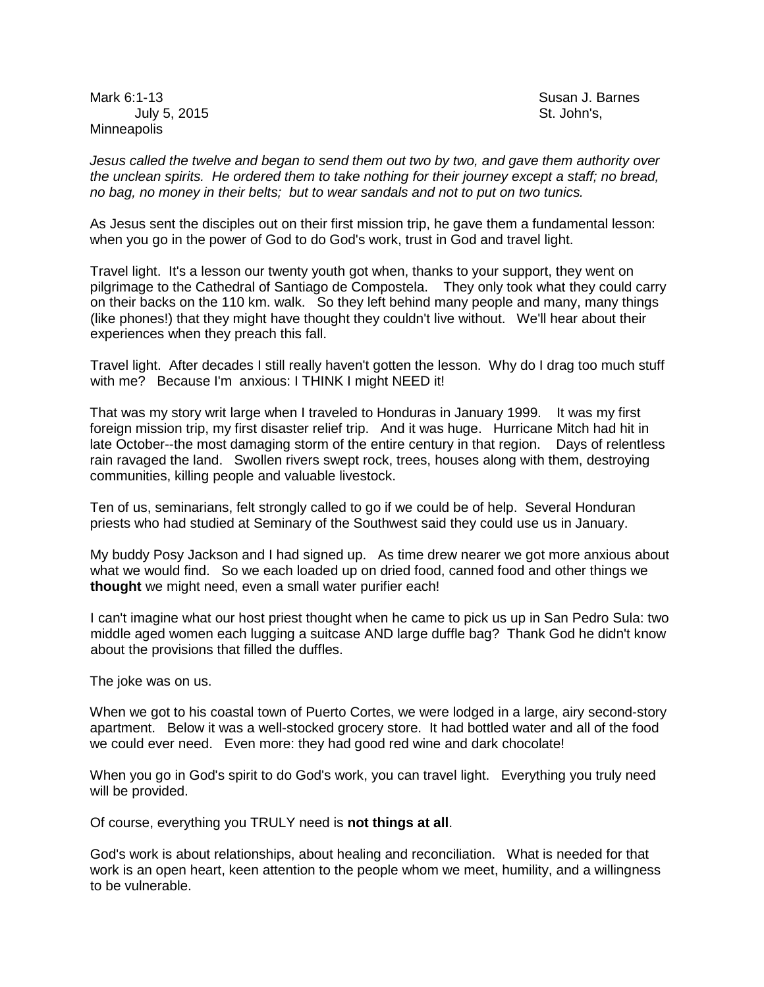Mark 6:1-13 Susan J. Barnes July 5, 2015 St. John's, St. John's, St. John's, St. John's, St. John's, St. John's, St. John's, St. John's, St. John's, St. John's, St. John's, St. John's, St. John's, St. John's, St. John's, St. John's, St. John's, St. J **Minneapolis** 

*Jesus called the twelve and began to send them out two by two, and gave them authority over the unclean spirits. He ordered them to take nothing for their journey except a staff; no bread, no bag, no money in their belts; but to wear sandals and not to put on two tunics.*

As Jesus sent the disciples out on their first mission trip, he gave them a fundamental lesson: when you go in the power of God to do God's work, trust in God and travel light.

Travel light. It's a lesson our twenty youth got when, thanks to your support, they went on pilgrimage to the Cathedral of Santiago de Compostela. They only took what they could carry on their backs on the 110 km. walk. So they left behind many people and many, many things (like phones!) that they might have thought they couldn't live without. We'll hear about their experiences when they preach this fall.

Travel light. After decades I still really haven't gotten the lesson. Why do I drag too much stuff with me? Because I'm anxious: I THINK I might NEED it!

That was my story writ large when I traveled to Honduras in January 1999. It was my first foreign mission trip, my first disaster relief trip. And it was huge. Hurricane Mitch had hit in late October--the most damaging storm of the entire century in that region. Days of relentless rain ravaged the land. Swollen rivers swept rock, trees, houses along with them, destroying communities, killing people and valuable livestock.

Ten of us, seminarians, felt strongly called to go if we could be of help. Several Honduran priests who had studied at Seminary of the Southwest said they could use us in January.

My buddy Posy Jackson and I had signed up. As time drew nearer we got more anxious about what we would find. So we each loaded up on dried food, canned food and other things we **thought** we might need, even a small water purifier each!

I can't imagine what our host priest thought when he came to pick us up in San Pedro Sula: two middle aged women each lugging a suitcase AND large duffle bag? Thank God he didn't know about the provisions that filled the duffles.

The joke was on us.

When we got to his coastal town of Puerto Cortes, we were lodged in a large, airy second-story apartment. Below it was a well-stocked grocery store. It had bottled water and all of the food we could ever need. Even more: they had good red wine and dark chocolate!

When you go in God's spirit to do God's work, you can travel light. Everything you truly need will be provided.

Of course, everything you TRULY need is **not things at all**.

God's work is about relationships, about healing and reconciliation. What is needed for that work is an open heart, keen attention to the people whom we meet, humility, and a willingness to be vulnerable.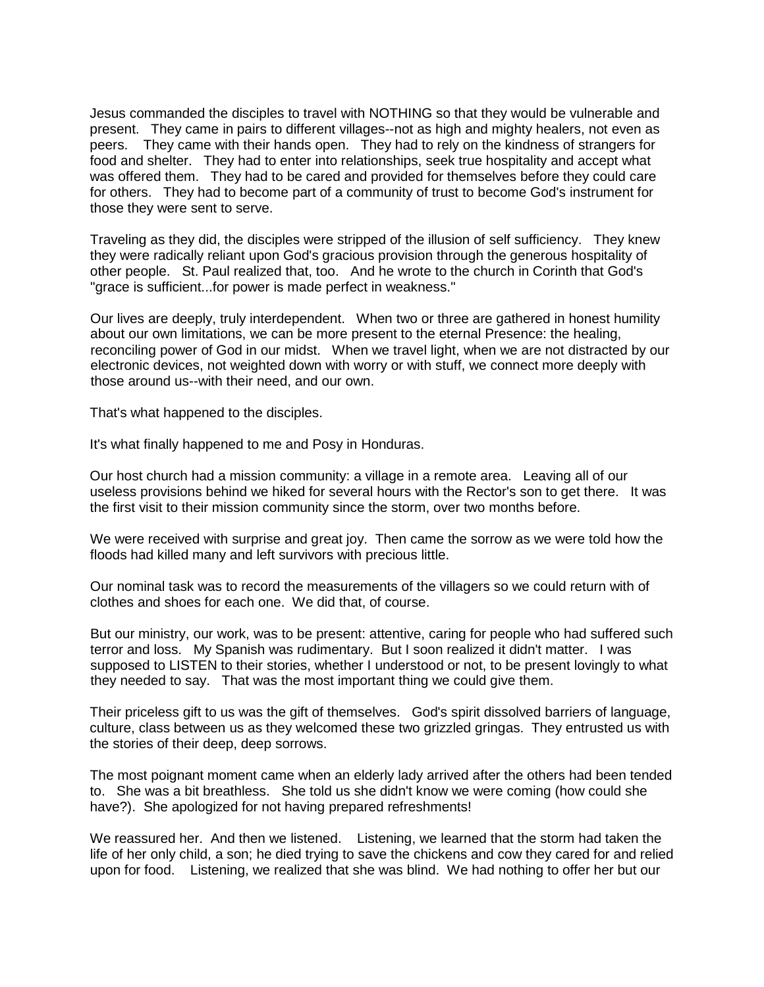Jesus commanded the disciples to travel with NOTHING so that they would be vulnerable and present. They came in pairs to different villages--not as high and mighty healers, not even as peers. They came with their hands open. They had to rely on the kindness of strangers for food and shelter. They had to enter into relationships, seek true hospitality and accept what was offered them. They had to be cared and provided for themselves before they could care for others. They had to become part of a community of trust to become God's instrument for those they were sent to serve.

Traveling as they did, the disciples were stripped of the illusion of self sufficiency. They knew they were radically reliant upon God's gracious provision through the generous hospitality of other people. St. Paul realized that, too. And he wrote to the church in Corinth that God's "grace is sufficient...for power is made perfect in weakness."

Our lives are deeply, truly interdependent. When two or three are gathered in honest humility about our own limitations, we can be more present to the eternal Presence: the healing, reconciling power of God in our midst. When we travel light, when we are not distracted by our electronic devices, not weighted down with worry or with stuff, we connect more deeply with those around us--with their need, and our own.

That's what happened to the disciples.

It's what finally happened to me and Posy in Honduras.

Our host church had a mission community: a village in a remote area. Leaving all of our useless provisions behind we hiked for several hours with the Rector's son to get there. It was the first visit to their mission community since the storm, over two months before.

We were received with surprise and great joy. Then came the sorrow as we were told how the floods had killed many and left survivors with precious little.

Our nominal task was to record the measurements of the villagers so we could return with of clothes and shoes for each one. We did that, of course.

But our ministry, our work, was to be present: attentive, caring for people who had suffered such terror and loss. My Spanish was rudimentary. But I soon realized it didn't matter. I was supposed to LISTEN to their stories, whether I understood or not, to be present lovingly to what they needed to say. That was the most important thing we could give them.

Their priceless gift to us was the gift of themselves. God's spirit dissolved barriers of language, culture, class between us as they welcomed these two grizzled gringas. They entrusted us with the stories of their deep, deep sorrows.

The most poignant moment came when an elderly lady arrived after the others had been tended to. She was a bit breathless. She told us she didn't know we were coming (how could she have?). She apologized for not having prepared refreshments!

We reassured her. And then we listened. Listening, we learned that the storm had taken the life of her only child, a son; he died trying to save the chickens and cow they cared for and relied upon for food. Listening, we realized that she was blind. We had nothing to offer her but our